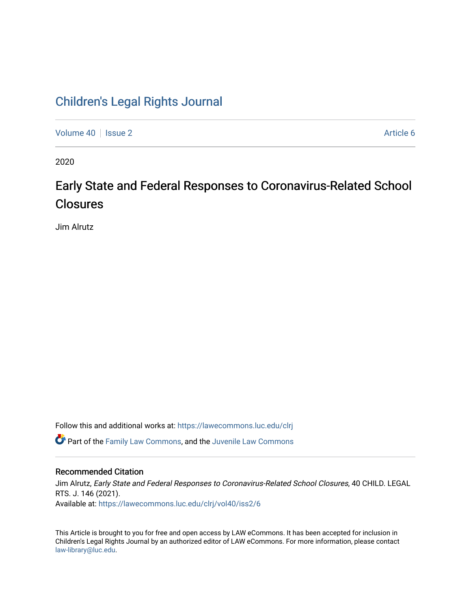## [Children's Legal Rights Journal](https://lawecommons.luc.edu/clrj)

[Volume 40](https://lawecommons.luc.edu/clrj/vol40) | [Issue 2](https://lawecommons.luc.edu/clrj/vol40/iss2) Article 6

2020

# Early State and Federal Responses to Coronavirus-Related School **Closures**

Jim Alrutz

Follow this and additional works at: [https://lawecommons.luc.edu/clrj](https://lawecommons.luc.edu/clrj?utm_source=lawecommons.luc.edu%2Fclrj%2Fvol40%2Fiss2%2F6&utm_medium=PDF&utm_campaign=PDFCoverPages)

**C** Part of the [Family Law Commons,](http://network.bepress.com/hgg/discipline/602?utm_source=lawecommons.luc.edu%2Fclrj%2Fvol40%2Fiss2%2F6&utm_medium=PDF&utm_campaign=PDFCoverPages) and the Juvenile Law Commons

#### Recommended Citation

Jim Alrutz, Early State and Federal Responses to Coronavirus-Related School Closures, 40 CHILD. LEGAL RTS. J. 146 (2021). Available at: [https://lawecommons.luc.edu/clrj/vol40/iss2/6](https://lawecommons.luc.edu/clrj/vol40/iss2/6?utm_source=lawecommons.luc.edu%2Fclrj%2Fvol40%2Fiss2%2F6&utm_medium=PDF&utm_campaign=PDFCoverPages) 

This Article is brought to you for free and open access by LAW eCommons. It has been accepted for inclusion in Children's Legal Rights Journal by an authorized editor of LAW eCommons. For more information, please contact [law-library@luc.edu](mailto:law-library@luc.edu).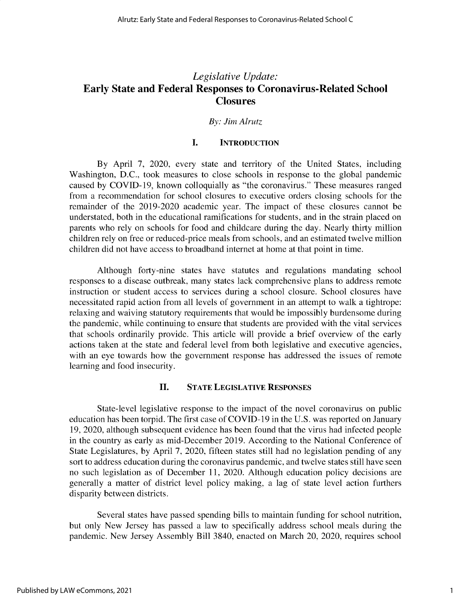### *Legislative Update:* **Early State and Federal Responses to Coronavirus-Related School Closures**

#### *By: Jim Alrutz*

#### **I. INTRODUCTION**

By April 7, 2020, every state and territory of the United States, including Washington, D.C., took measures to close schools in response to the global pandemic caused by COVID-19, known colloquially as "the coronavirus." These measures ranged from a recommendation for school closures to executive orders closing schools for the remainder of the 2019-2020 academic year. The impact of these closures cannot be understated, both in the educational ramifications for students, and in the strain placed on parents who rely on schools for food and childcare during the day. Nearly thirty million children rely on free or reduced-price meals from schools, and an estimated twelve million children did not have access to broadband internet at home at that point in time.

Although forty-nine states have statutes and regulations mandating school responses to a disease outbreak, many states lack comprehensive plans to address remote instruction or student access to services during a school closure. School closures have necessitated rapid action from all levels of government in an attempt to walk a tightrope: relaxing and waiving statutory requirements that would be impossibly burdensome during the pandemic, while continuing to ensure that students are provided with the vital services that schools ordinarily provide. This article will provide a brief overview of the early actions taken at the state and federal level from both legislative and executive agencies, with an eye towards how the government response has addressed the issues of remote learning and food insecurity.

#### **II. STATE LEGISLATIVE RESPONSES**

State-level legislative response to the impact of the novel coronavirus on public education has been torpid. The first case of COVID-19 in the U.S. was reported on January 19, 2020, although subsequent evidence has been found that the virus had infected people in the country as early as mid-December 2019. According to the National Conference of State Legislatures, by April 7, 2020, fifteen states still had no legislation pending of any sort to address education during the coronavirus pandemic, and twelve states still have seen no such legislation as of December 11, 2020. Although education policy decisions are generally a matter of district level policy making, a lag of state level action furthers disparity between districts.

Several states have passed spending bills to maintain funding for school nutrition, but only New Jersey has passed a law to specifically address school meals during the pandemic. New Jersey Assembly Bill 3840, enacted on March 20, 2020, requires school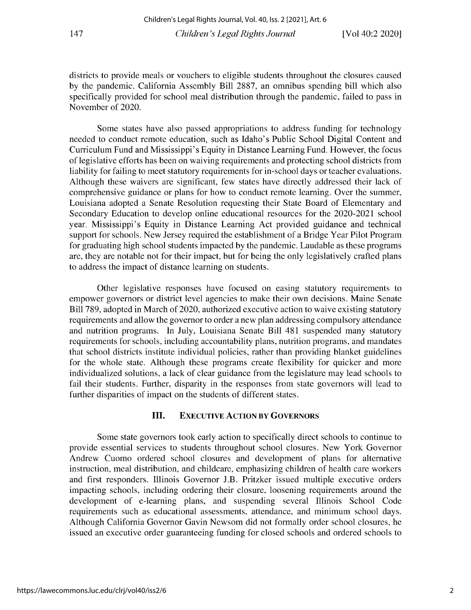**districts to provide meals or vouchers to eligible students throughout the closures caused** by the pandemic. California Assembly Bill 2887, an omnibus spending bill which also specifically provided for school meal distribution through the pandemic, failed to pass in November of 2020.

Some states have also passed appropriations to address funding for technology **needed to conduct remote education, such as Idaho's Public School Digital Content and Curriculum Fund and Mississippi's Equity in Distance Learning Fund. However, the focus** of legislative efforts has been on waiving requirements and protecting school districts from **liability for failing to meet statutory requirements for in-school days or teacher evaluations.** Although these waivers are significant, few states have directly addressed their lack of **comprehensive guidance or plans for how to conduct remote learning.** Over **the summer, Louisiana adopted a Senate Resolution requesting their State Board of Elementary and** Secondary Education to develop online educational resources for the 2020-2021 school **year. Mississippi's Equity in Distance Learning Act provided guidance and technical support for schools. New Jersey required the establishment of a Bridge Year Pilot Program for graduating high school students impacted by the pandemic. Laudable as these programs** are, they are notable not for their impact, but for being the only legislatively crafted plans **to address the impact of distance learning on students.**

**Other legislative responses have focused on easing statutory requirements to empower governors or district level agencies to make their own decisions. Maine Senate** Bill 789, adopted in March of 2020, authorized executive action to waive existing statutory **requirements and allow the governor to order a new plan addressing compulsory attendance and nutrition programs. In July, Louisiana Senate Bill 481 suspended many statutory requirements for schools, including accountability plans, nutrition programs, and mandates that school districts institute individual policies, rather than providing blanket guidelines** for the whole state. Although these programs create flexibility for quicker and more individualized solutions, a lack of clear guidance from the legislature may lead schools to **fail their students. Further, disparity in the responses from state governors will lead to** further disparities of impact on the students of different states.

#### **III. EXECUTIVE ACTION BY GOVERNORS**

**Some state governors took early action to specifically direct schools to continue to** provide essential services to students throughout school closures. New York Governor **Andrew Cuomo ordered school closures and development of plans for alternative instruction, meal distribution, and childcare, emphasizing children of health care workers and first responders. Illinois Governor J.B. Pritzker issued multiple executive orders impacting schools, including ordering their closure, loosening requirements around the development of e-learning plans, and suspending several Illinois School Code requirements such as educational assessments, attendance, and minimum school days.** Although California Governor Gavin Newsom did not formally order school closures, he **issued an executive order guaranteeing funding for closed schools and ordered schools to**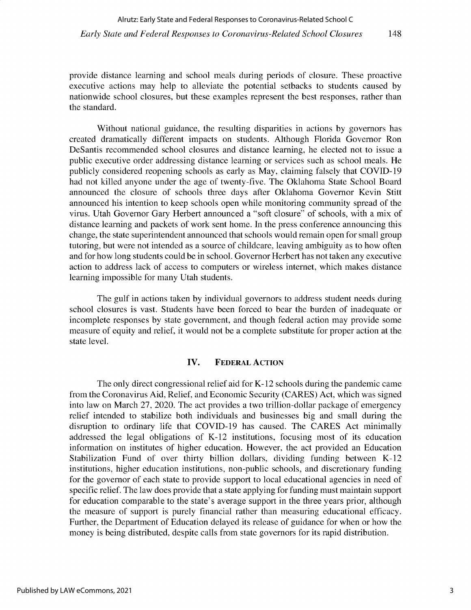provide distance learning and school meals during periods of closure. These proactive executive actions may help to alleviate the potential setbacks to students caused by nationwide school closures, but these examples represent the best responses, rather than the standard.

Without national guidance, the resulting disparities in actions by governors has created dramatically different impacts on students. Although Florida Governor Ron DeSantis recommended school closures and distance learning, he elected not to issue a public executive order addressing distance learning or services such as school meals. He publicly considered reopening schools as early as May, claiming falsely that COVID-19 had not killed anyone under the age of twenty-five. The Oklahoma State School Board announced the closure of schools three days after Oklahoma Governor Kevin Stitt announced his intention to keep schools open while monitoring community spread of the virus. Utah Governor Gary Herbert announced a "soft closure" of schools, with a mix of distance learning and packets of work sent home. In the press conference announcing this change, the state superintendent announced that schools would remain open for small group tutoring, but were not intended as a source of childcare, leaving ambiguity as to how often and for how long students could be in school. Governor Herbert has not taken any executive action to address lack of access to computers or wireless internet, which makes distance learning impossible for many Utah students.

The gulf in actions taken by individual governors to address student needs during school closures is vast. Students have been forced to bear the burden of inadequate or incomplete responses by state government, and though federal action may provide some measure of equity and relief, it would not be a complete substitute for proper action at the state level.

#### **IV. FEDERAL ACTION**

**The** only direct congressional relief aid for **K-12** schools during the pandemic came from the Coronavirus Aid, Relief, and Economic Security (CARES) Act, which was signed into law on March 27, 2020. The act provides a two trillion-dollar package of emergency relief intended to stabilize both individuals and businesses big and small during the disruption to ordinary life that COVID-19 has caused. The CARES Act minimally addressed the legal obligations of K-12 institutions, focusing most of its education information on institutes of higher education. However, the act provided an Education Stabilization Fund of over thirty billion dollars, dividing funding between K-12 institutions, higher education institutions, non-public schools, and discretionary funding for the governor of each state to provide support to local educational agencies in need of specific relief. The law does provide that a state applying for funding must maintain support for education comparable to the state's average support in the three years prior, although the measure of support is purely financial rather than measuring educational efficacy. Further, the Department of Education delayed its release of guidance for when or how the money is being distributed, despite calls from state governors for its rapid distribution.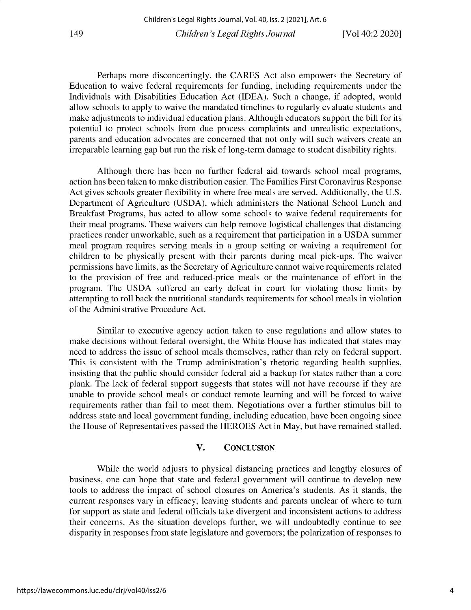Perhaps more disconcertingly, the CARES Act also empowers the Secretary of Education to waive federal requirements for funding, including requirements under the Individuals with Disabilities Education Act (IDEA). Such a change, if adopted, would allow schools to apply to waive the mandated timelines to regularly evaluate students and make adjustments to individual education plans. Although educators support the bill for its potential to protect schools from due process complaints and unrealistic expectations, parents and education advocates are concerned that not only will such waivers create an irreparable learning gap but run the risk of long-term damage to student disability rights.

Although there has been no further federal aid towards school meal programs, action has been taken to make distribution easier. The Families First Coronavirus Response Act gives schools greater flexibility in where free meals are served. Additionally, the U.S. Department of Agriculture (USDA), which administers the National School Lunch and Breakfast Programs, has acted to allow some schools to waive federal requirements for their meal programs. These waivers can help remove logistical challenges that distancing practices render unworkable, such as a requirement that participation in a USDA summer meal program requires serving meals in a group setting or waiving a requirement for children to be physically present with their parents during meal pick-ups. The waiver permissions have limits, as the Secretary of Agriculture cannot waive requirements related to the provision of free and reduced-price meals or the maintenance of effort in the program. The USDA suffered an early defeat in court for violating those limits by attempting to roll back the nutritional standards requirements for school meals in violation of the Administrative Procedure Act.

Similar to executive agency action taken to ease regulations and allow states to make decisions without federal oversight, the White House has indicated that states may need to address the issue of school meals themselves, rather than rely on federal support. This is consistent with the Trump administration's rhetoric regarding health supplies, insisting that the public should consider federal aid a backup for states rather than a core plank. The lack of federal support suggests that states will not have recourse if they are unable to provide school meals or conduct remote learning and will be forced to waive requirements rather than fail to meet them. Negotiations over a further stimulus bill to address state and local government funding, including education, have been ongoing since the House of Representatives passed the HEROES Act in May, but have remained stalled.

#### V. CONCLUSION

While the world adjusts to physical distancing practices and lengthy closures of business, one can hope that state and federal government will continue to develop new tools to address the impact of school closures on America's students. As it stands, the current responses vary in efficacy, leaving students and parents unclear of where to turn for support as state and federal officials take divergent and inconsistent actions to address their concerns. As the situation develops further, we will undoubtedly continue to see disparity in responses from state legislature and governors; the polarization of responses to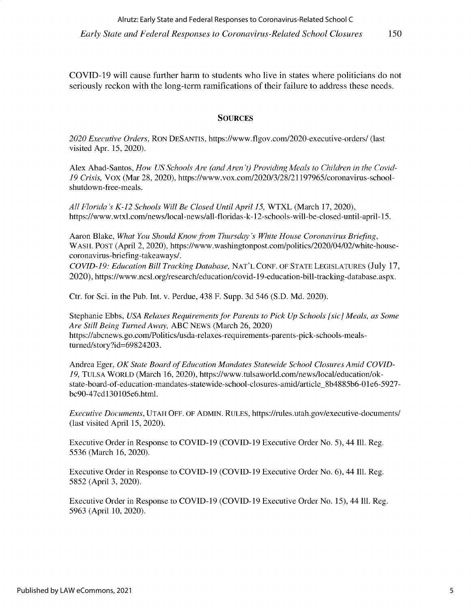150

**COVID-19 will cause further harm to students who live in states where politicians do not seriously reckon with the long-term ramifications of their failure to address these needs.**

#### **SOURCES**

*2020 Executive Orders,* RON DESANTIS, https://www.flgov.com/2020-executive-orders/ (last visited Apr. 15, 2020).

Alex **Abad-Santos,** *How US Schools Are (and Aren't) Providing Meals to Children in the Covid-19 Crisis,* Vox (Mar 28, 2020), https://www.vox.com/2020/3/28/21197965/coronavirus-school**shutdown-free-meals.**

*All Florida's K-12 Schools Will Be Closed Until April 15,* WTXL (March 17, 2020), **https://www.wtxl.com/news/local-news/all-floridas-k- 12-schools-will-be-closed-until-april-15.**

Aaron **Blake,** *What You Should Know from Thursday's White House Coronavirus Briefing,* **WASH. POST (April 2, 2020), https://www.washingtonpost.com/politics/2020/04/02/white-housecoronavirus-briefing-takeaways/.**

*COVID-19: Education Bill Tracking Database,* NAT'L CONF. OF STATE LEGISLATURES (July 17, 2020), **https://www.ncsl.org/research/education/covid-19-education-bill-tracking-database.aspx.**

Ctr. for Sci. in the Pub. Int. v. Perdue, 438 F. Supp. 3d 546 (S.D. Md. 2020).

Stephanie Ebbs, *USA Relaxes Requirements for Parents to Pick Up Schools [sic] Meals, as Some Are Still Being Turned Away,* ABC NEWS (March 26, 2020) **https://abcnews. go.com/Politics/usda-relaxes-requirements-parents-pick-schools-meals**turned/story?id=69824203.

Andrea Eger, *OK State Board of Education Mandates Statewide School Closures Amid COVID-19,* TULSA WORLD **(March 16,** 2020), **https://www.tulsaworld.com/news/local/education/okstate-board-of-education-mandates-statewide-school-closures-amid/article\_8b48 85b6-0 1 e6-5927** bc90-47cd130105e6.html.

*Executive Documents,* **UTAH OFF. OF ADMIN. RULES, https://rules.utah.gov/executive-documents/ (last visited** April 15, 2020).

Executive Order in Response to COVID-19 (COVID-19 Executive Order No. *5),* 44 Ill. Reg. 5536 **(March 16,** 2020).

Executive Order in Response to COVID-19 (COVID-19 Executive Order No. 6), 44 Ill. Reg. *5852* (April 3, 2020).

Executive Order in Response to COVID-19 (COVID-19 Executive Order No. 15), 44 Ill. Reg. 5963 (April 10, 2020).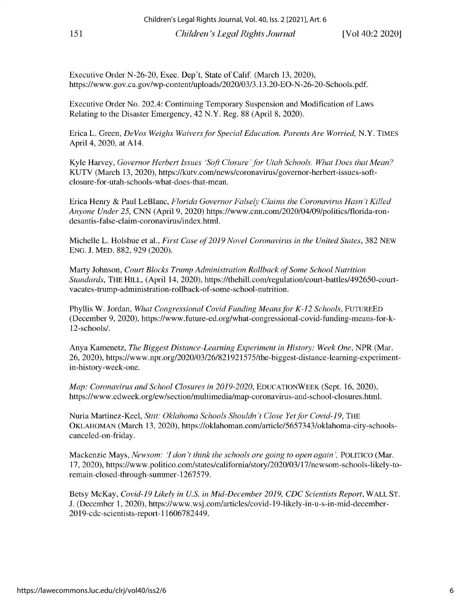Executive Order N-26-20, Exec. Dep't, State of Calif. (March 13, 2020), https://www.gov.ca.gov/wp-content/uploads/2020/03/3.13.20-EO-N-26-20-Schools.pdf.

Executive Order No. 202.4: Continuing Temporary Suspension and Modification of Laws Relating to the Disaster Emergency, 42 N.Y. Reg. 88 (April 8, 2020).

Erica L. Green, *DeVos Weighs Waivers for Special Education. Parents Are Worried,* N.Y. **TIMES** April 4, 2020, at A14.

Kyle Harvey, *Governor Herbert Issues 'Soft Closure'for Utah Schools. What Does that Mean?* KUTV (March 13, 2020), https://kutv.com/news/coronavirus/governor-herbert-issues-softclosure-for-utah-schools-what-does-that-mean.

Erica Henry & Paul LeBlanc, *Florida Governor Falsely Claims the Coronavirus Hasn't Killed Anyone Under 25,* CNN (April 9, 2020) https://www.cnn.com/2020/04/09/politics/florida-rondesantis-false-claim-coronavirus/index.html.

Michelle L. Holshue et al., *First Case of 2019 Novel Coronavirus in the United States,* 382 NEW ENG. J. MED. 882, 929 (2020).

Marty Johnson, *Court Blocks Trump Administration Rollback of Some School Nutrition Standards,* THE HILL, (April 14, 2020), https://thehill.com/regulation/court-battles/492650-courtvacates-trump-administration-rollback-of-some-school-nutrition.

Phyllis W. Jordan, *What Congressional Covid Funding Means for K-12 Schools,* FUTUREED (December 9, 2020), https://www.future-ed.org/what-congressional-covid-funding-means-for-k-12-schools/.

Anya Kamenetz, *The Biggest Distance-Learning Experiment in History: Week One,* NPR (Mar. 26, 2020), https://www.npr.org/2020/03/26/821921575/the-biggest-distance-learning-experimentin-history-week-one.

*Map: Coronavirus and School Closures in 2019-2020,* **EDUCATIONWEEK** (Sept. 16, 2020), https://www.edweek. org/ew/section/multimedia/map-coronavirus-and-school-closures.html.

Nuria Martinez-Keel, Stitt: Oklahoma Schools Shouldn't Close Yet for Covid-19, THE OKLAHOMAN (March 13, 2020), https://oklahoman.com/article/5657343/oklahoma-city-schoolscanceled-on-friday.

Mackenzie Mays, *Newsom: I don't think the schools are going to open again',* **POLITICO** (Mar. 17, 2020), https://www.politico.com/states/california/story/2020/03/17/newsom-schools-likely-toremain-closed-through-summer-1267579.

Betsy McKay, *Covid-19 Likely in U.S. in Mid-December 2019, CDC Scientists Report,* **WALL ST.** J. (December 1, 2020), https://www.wsj.com/articles/covid-19-likely-in-u-s-in-mid-december-2019-cdc-scientists-report-11606782449.